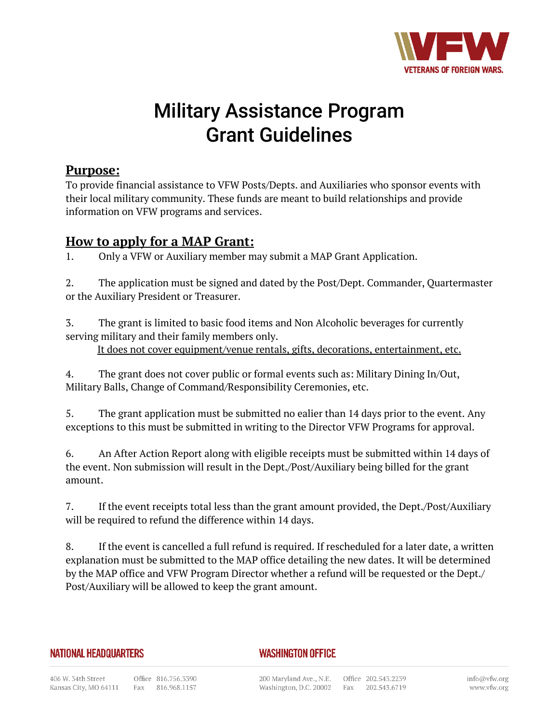

# Military Assistance Program Grant Guidelines

## **Purpose:**

To provide financial assistance to VFW Posts/Depts. and Auxiliaries who sponsor events with their local military community. These funds are meant to build relationships and provide information on VFW programs and services.

# **How to apply for a MAP Grant:**

1. Only a VFW or Auxiliary member may submit a MAP Grant Application.

2. The application must be signed and dated by the Post/Dept. Commander, Quartermaster or the Auxiliary President or Treasurer.

3. The grant is limited to basic food items and Non Alcoholic beverages for currently serving military and their family members only.

It does not cover equipment/venue rentals, gifts, decorations, entertainment, etc.

4. The grant does not cover public or formal events such as: Military Dining In/Out, Military Balls, Change of Command/Responsibility Ceremonies, etc.

5. The grant application must be submitted no ealier than 14 days prior to the event. Any exceptions to this must be submitted in writing to the Director VFW Programs for approval.

6. An After Action Report along with eligible receipts must be submitted within 14 days of the event. Non submission will result in the Dept./Post/Auxiliary being billed for the grant amount.

7. If the event receipts total less than the grant amount provided, the Dept./Post/Auxiliary will be required to refund the difference within 14 days.

8. If the event is cancelled a full refund is required. If rescheduled for a later date, a written explanation must be submitted to the MAP office detailing the new dates. It will be determined by the MAP office and VFW Program Director whether a refund will be requested or the Dept./ Post/Auxiliary will be allowed to keep the grant amount.

#### **NATIONAL HEADQUARTERS**

### **WASHINGTON OFFICE**